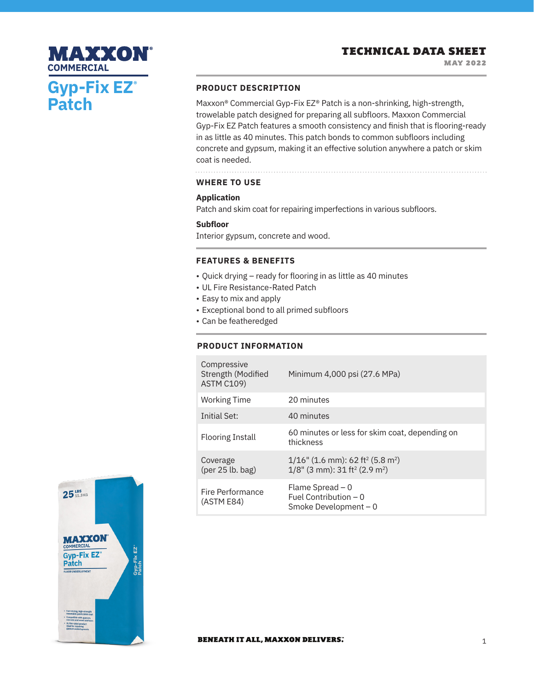## **PRODUCT DESCRIPTION**

Maxxon® Commercial Gyp-Fix EZ® Patch is a non-shrinking, high-strength, trowelable patch designed for preparing all subfloors. Maxxon Commercial Gyp-Fix EZ Patch features a smooth consistency and finish that is flooring-ready in as little as 40 minutes. This patch bonds to common subfloors including concrete and gypsum, making it an effective solution anywhere a patch or skim coat is needed.

## **WHERE TO USE**

#### **Application**

Patch and skim coat for repairing imperfections in various subfloors.

#### **Subfloor**

Interior gypsum, concrete and wood.

#### **FEATURES & BENEFITS**

- Quick drying ready for flooring in as little as 40 minutes
- UL Fire Resistance-Rated Patch
- Easy to mix and apply
- Exceptional bond to all primed subfloors
- Can be featheredged

### **PRODUCT INFORMATION**

| Compressive<br>Strength (Modified<br><b>ASTM C109)</b> | Minimum 4,000 psi (27.6 MPa)                                                                                            |
|--------------------------------------------------------|-------------------------------------------------------------------------------------------------------------------------|
| <b>Working Time</b>                                    | 20 minutes                                                                                                              |
| Initial Set:                                           | 40 minutes                                                                                                              |
| <b>Flooring Install</b>                                | 60 minutes or less for skim coat, depending on<br>thickness                                                             |
| Coverage<br>$(\text{per }25 \text{ lb. bag})$          | $1/16$ " (1.6 mm): 62 ft <sup>2</sup> (5.8 m <sup>2</sup> )<br>$1/8$ " (3 mm): 31 ft <sup>2</sup> (2.9 m <sup>2</sup> ) |
| Fire Performance<br>(ASTM E84)                         | Flame Spread $-0$<br>Fuel Contribution $-0$<br>Smoke Development - 0                                                    |



**Gyp-Fix EZ®**

MAXXON

**Patch**

**COMMERCIAL**

#### **BENEATH IT ALL, MAXXON DELIVERS.**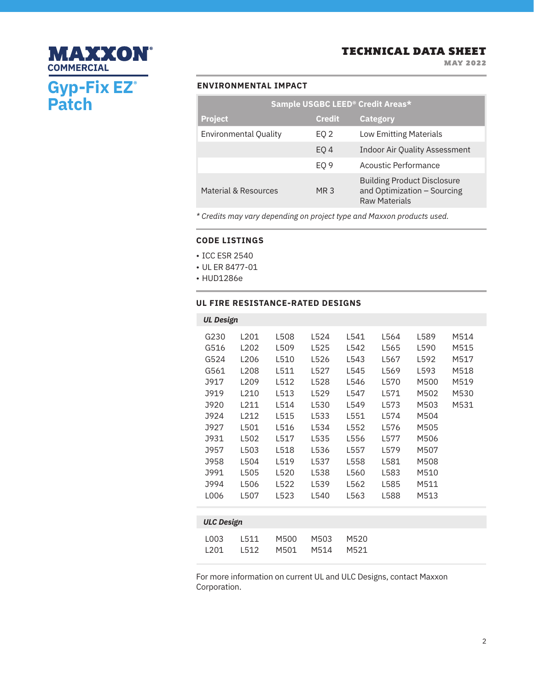MAY 2022

## **ENVIRONMENTAL IMPACT**

**Gyp-Fix EZ®**

**MAXXON®** 

**Patch**

**COMMERCIAL**

| Sample USGBC LEED® Credit Areas* |                 |                                                                                           |  |  |  |  |  |
|----------------------------------|-----------------|-------------------------------------------------------------------------------------------|--|--|--|--|--|
| <b>Project</b>                   | <b>Credit</b>   | <b>Category</b>                                                                           |  |  |  |  |  |
| <b>Environmental Quality</b>     | EQ 2            | <b>Low Emitting Materials</b>                                                             |  |  |  |  |  |
|                                  | EO <sub>4</sub> | <b>Indoor Air Quality Assessment</b>                                                      |  |  |  |  |  |
|                                  | EO <sub>9</sub> | Acoustic Performance                                                                      |  |  |  |  |  |
| Material & Resources             | MR 3            | <b>Building Product Disclosure</b><br>and Optimization - Sourcing<br><b>Raw Materials</b> |  |  |  |  |  |

*\* Credits may vary depending on project type and Maxxon products used.*

#### **CODE LISTINGS**

- ICC ESR 2540
- UL ER 8477-01
- HUD1286e

#### **UL FIRE RESISTANCE-RATED DESIGNS**

| <b>UL Design</b><br>G230<br>G516<br>G524<br>G561<br>J917<br>J919<br>J920 | L201<br>L <sub>202</sub><br>L206<br>L208<br>L <sub>209</sub><br>L210<br>L211 | L508<br>L509<br>L510<br>L511<br>L512<br>L513<br>L514         | L524<br>L525<br>L526<br>L527<br>L528<br>L529<br>L530         | L541<br>L542<br>L543<br>L545<br>L546<br>L547<br>L549         | L564<br>L565<br>L567<br>L569<br>L570<br>L571<br>L573         | L589<br>L590<br>L592<br>L593<br>M500<br>M502<br>M503         | M514<br>M515<br>M517<br>M518<br>M519<br>M530<br>M531 |
|--------------------------------------------------------------------------|------------------------------------------------------------------------------|--------------------------------------------------------------|--------------------------------------------------------------|--------------------------------------------------------------|--------------------------------------------------------------|--------------------------------------------------------------|------------------------------------------------------|
| J924<br>J927<br>J931<br>J957<br>J958<br><b>J991</b><br>J994<br>L006      | L212<br>L501<br>L502<br>L503<br>L504<br>L505<br>L506<br>L507                 | L515<br>L516<br>L517<br>L518<br>L519<br>L520<br>L522<br>L523 | L533<br>L534<br>L535<br>L536<br>L537<br>L538<br>L539<br>L540 | L551<br>L552<br>L556<br>L557<br>L558<br>L560<br>L562<br>L563 | L574<br>L576<br>L577<br>L579<br>L581<br>L583<br>L585<br>L588 | M504<br>M505<br>M506<br>M507<br>M508<br>M510<br>M511<br>M513 |                                                      |
|                                                                          |                                                                              |                                                              |                                                              |                                                              |                                                              |                                                              |                                                      |
| <b>ULC Design</b>                                                        |                                                                              |                                                              |                                                              |                                                              |                                                              |                                                              |                                                      |
| L003<br>L201                                                             | L511<br>L512                                                                 | M500<br>M501                                                 | M503<br>M514                                                 | M520<br>M521                                                 |                                                              |                                                              |                                                      |

For more information on current UL and ULC Designs, contact Maxxon Corporation.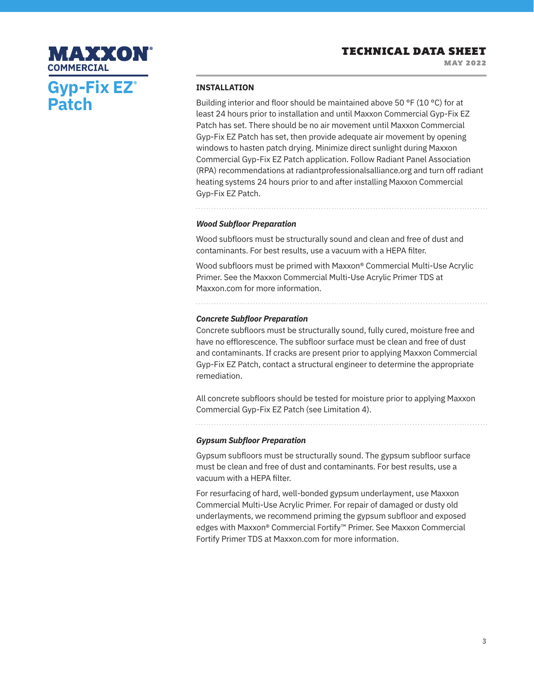MAY 2022

# MAXXON **COMMERCIALGyp-Fix EZ® Patch**

#### **INSTALLATION**

Building interior and floor should be maintained above 50 °F (10 °C) for at least 24 hours prior to installation and until Maxxon Commercial Gyp-Fix EZ Patch has set. There should be no air movement until Maxxon Commercial Gyp-Fix EZ Patch has set, then provide adequate air movement by opening windows to hasten patch drying. Minimize direct sunlight during Maxxon Commercial Gyp-Fix EZ Patch application. Follow Radiant Panel Association (RPA) recommendations at radiantprofessionalsalliance.org and turn off radiant heating systems 24 hours prior to and after installing Maxxon Commercial Gyp-Fix EZ Patch.

*Wood Subfloor Preparation* 

Wood subfloors must be structurally sound and clean and free of dust and contaminants. For best results, use a vacuum with a HEPA filter.

Wood subfloors must be primed with Maxxon® Commercial Multi-Use Acrylic Primer. See the Maxxon Commercial Multi-Use Acrylic Primer TDS at Maxxon.com for more information.

### *Concrete Subfloor Preparation*

Concrete subfloors must be structurally sound, fully cured, moisture free and have no efflorescence. The subfloor surface must be clean and free of dust and contaminants. If cracks are present prior to applying Maxxon Commercial Gyp-Fix EZ Patch, contact a structural engineer to determine the appropriate remediation.

All concrete subfloors should be tested for moisture prior to applying Maxxon Commercial Gyp-Fix EZ Patch (see Limitation 4).

*Gypsum Subfloor Preparation*

Gypsum subfloors must be structurally sound. The gypsum subfloor surface must be clean and free of dust and contaminants. For best results, use a vacuum with a HEPA filter.

For resurfacing of hard, well-bonded gypsum underlayment, use Maxxon Commercial Multi-Use Acrylic Primer. For repair of damaged or dusty old underlayments, we recommend priming the gypsum subfloor and exposed edges with Maxxon® Commercial Fortify™ Primer. See Maxxon Commercial Fortify Primer TDS at Maxxon.com for more information.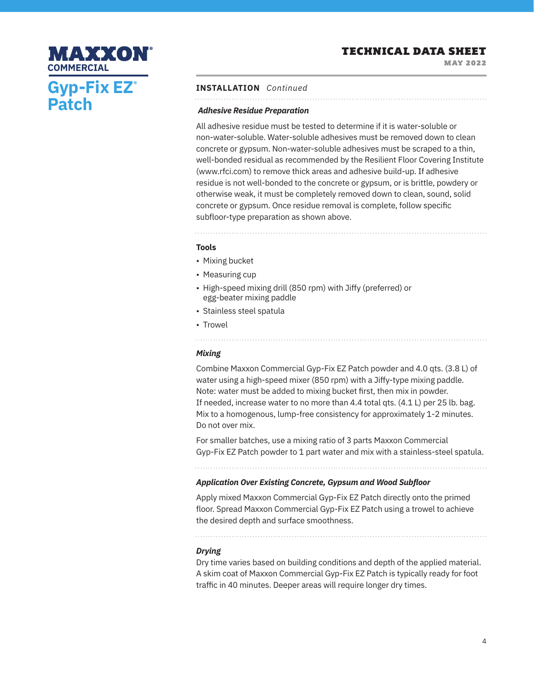MAY 2022

# MAXXON **COMMERCIALGyp-Fix EZ® Patch**

### **INSTALLATION** *Continued*

#### *Adhesive Residue Preparation*

All adhesive residue must be tested to determine if it is water-soluble or non-water-soluble. Water-soluble adhesives must be removed down to clean concrete or gypsum. Non-water-soluble adhesives must be scraped to a thin, well-bonded residual as recommended by the Resilient Floor Covering Institute (www.rfci.com) to remove thick areas and adhesive build-up. If adhesive residue is not well-bonded to the concrete or gypsum, or is brittle, powdery or otherwise weak, it must be completely removed down to clean, sound, solid concrete or gypsum. Once residue removal is complete, follow specific subfloor-type preparation as shown above.

#### **Tools**

- Mixing bucket
- Measuring cup
- High-speed mixing drill (850 rpm) with Jiffy (preferred) or egg-beater mixing paddle
- Stainless steel spatula
- Trowel

#### *Mixing*

Combine Maxxon Commercial Gyp-Fix EZ Patch powder and 4.0 qts. (3.8 L) of water using a high-speed mixer (850 rpm) with a Jiffy-type mixing paddle. Note: water must be added to mixing bucket first, then mix in powder. If needed, increase water to no more than 4.4 total qts. (4.1 L) per 25 lb. bag. Mix to a homogenous, lump-free consistency for approximately 1-2 minutes. Do not over mix.

For smaller batches, use a mixing ratio of 3 parts Maxxon Commercial Gyp-Fix EZ Patch powder to 1 part water and mix with a stainless-steel spatula.

## *Application Over Existing Concrete, Gypsum and Wood Subfloor*

Apply mixed Maxxon Commercial Gyp-Fix EZ Patch directly onto the primed floor. Spread Maxxon Commercial Gyp-Fix EZ Patch using a trowel to achieve the desired depth and surface smoothness.

### *Drying*

Dry time varies based on building conditions and depth of the applied material. A skim coat of Maxxon Commercial Gyp-Fix EZ Patch is typically ready for foot traffic in 40 minutes. Deeper areas will require longer dry times.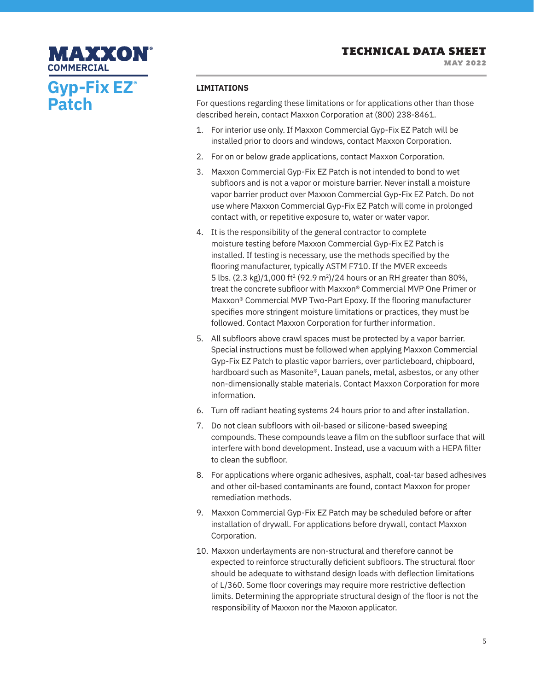MAY 2022

# **Gyp-Fix EZ® Patch COMMERCIAL**

**MAXXON®** 

#### **LIMITATIONS**

For questions regarding these limitations or for applications other than those described herein, contact Maxxon Corporation at (800) 238-8461.

- 1. For interior use only. If Maxxon Commercial Gyp-Fix EZ Patch will be installed prior to doors and windows, contact Maxxon Corporation.
- 2. For on or below grade applications, contact Maxxon Corporation.
- 3. Maxxon Commercial Gyp-Fix EZ Patch is not intended to bond to wet subfloors and is not a vapor or moisture barrier. Never install a moisture vapor barrier product over Maxxon Commercial Gyp-Fix EZ Patch. Do not use where Maxxon Commercial Gyp-Fix EZ Patch will come in prolonged contact with, or repetitive exposure to, water or water vapor.
- 4. It is the responsibility of the general contractor to complete moisture testing before Maxxon Commercial Gyp-Fix EZ Patch is installed. If testing is necessary, use the methods specified by the flooring manufacturer, typically ASTM F710. If the MVER exceeds 5 lbs.  $(2.3 \text{ kg})/1,000 \text{ ft}^2 (92.9 \text{ m}^2)/24$  hours or an RH greater than 80%, treat the concrete subfloor with Maxxon® Commercial MVP One Primer or Maxxon® Commercial MVP Two-Part Epoxy. If the flooring manufacturer specifies more stringent moisture limitations or practices, they must be followed. Contact Maxxon Corporation for further information.
- 5. All subfloors above crawl spaces must be protected by a vapor barrier. Special instructions must be followed when applying Maxxon Commercial Gyp-Fix EZ Patch to plastic vapor barriers, over particleboard, chipboard, hardboard such as Masonite®, Lauan panels, metal, asbestos, or any other non-dimensionally stable materials. Contact Maxxon Corporation for more information.
- 6. Turn off radiant heating systems 24 hours prior to and after installation.
- 7. Do not clean subfloors with oil-based or silicone-based sweeping compounds. These compounds leave a film on the subfloor surface that will interfere with bond development. Instead, use a vacuum with a HEPA filter to clean the subfloor.
- 8. For applications where organic adhesives, asphalt, coal-tar based adhesives and other oil-based contaminants are found, contact Maxxon for proper remediation methods.
- 9. Maxxon Commercial Gyp-Fix EZ Patch may be scheduled before or after installation of drywall. For applications before drywall, contact Maxxon Corporation.
- 10. Maxxon underlayments are non-structural and therefore cannot be expected to reinforce structurally deficient subfloors. The structural floor should be adequate to withstand design loads with deflection limitations of L/360. Some floor coverings may require more restrictive deflection limits. Determining the appropriate structural design of the floor is not the responsibility of Maxxon nor the Maxxon applicator.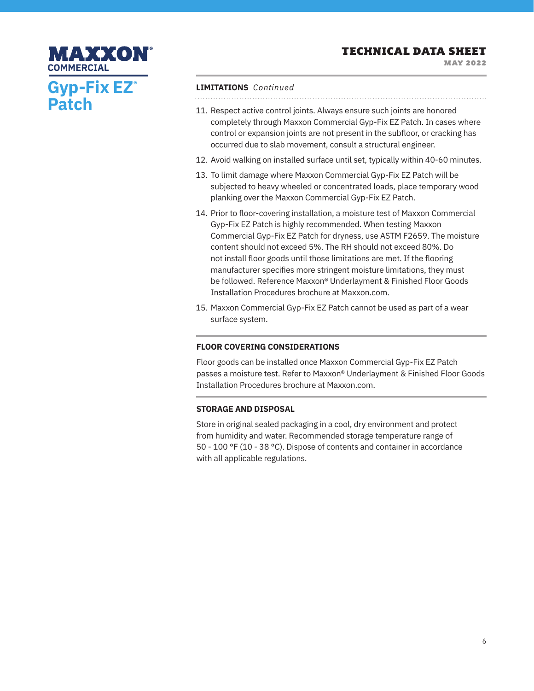MAY 2022

# **Gyp-Fix EZ® Patch COMMERCIAL**

MAXXON

#### **LIMITATIONS** *Continued*

- 11. Respect active control joints. Always ensure such joints are honored completely through Maxxon Commercial Gyp-Fix EZ Patch. In cases where control or expansion joints are not present in the subfloor, or cracking has occurred due to slab movement, consult a structural engineer.
- 12. Avoid walking on installed surface until set, typically within 40-60 minutes.
- 13. To limit damage where Maxxon Commercial Gyp-Fix EZ Patch will be subjected to heavy wheeled or concentrated loads, place temporary wood planking over the Maxxon Commercial Gyp-Fix EZ Patch.
- 14. Prior to floor-covering installation, a moisture test of Maxxon Commercial Gyp-Fix EZ Patch is highly recommended. When testing Maxxon Commercial Gyp-Fix EZ Patch for dryness, use ASTM F2659. The moisture content should not exceed 5%. The RH should not exceed 80%. Do not install floor goods until those limitations are met. If the flooring manufacturer specifies more stringent moisture limitations, they must be followed. Reference Maxxon® Underlayment & Finished Floor Goods Installation Procedures brochure at Maxxon.com.
- 15. Maxxon Commercial Gyp-Fix EZ Patch cannot be used as part of a wear surface system.

### **FLOOR COVERING CONSIDERATIONS**

Floor goods can be installed once Maxxon Commercial Gyp-Fix EZ Patch passes a moisture test. Refer to Maxxon® Underlayment & Finished Floor Goods Installation Procedures brochure at Maxxon.com.

### **STORAGE AND DISPOSAL**

Store in original sealed packaging in a cool, dry environment and protect from humidity and water. Recommended storage temperature range of 50 - 100 °F (10 - 38 °C). Dispose of contents and container in accordance with all applicable regulations.